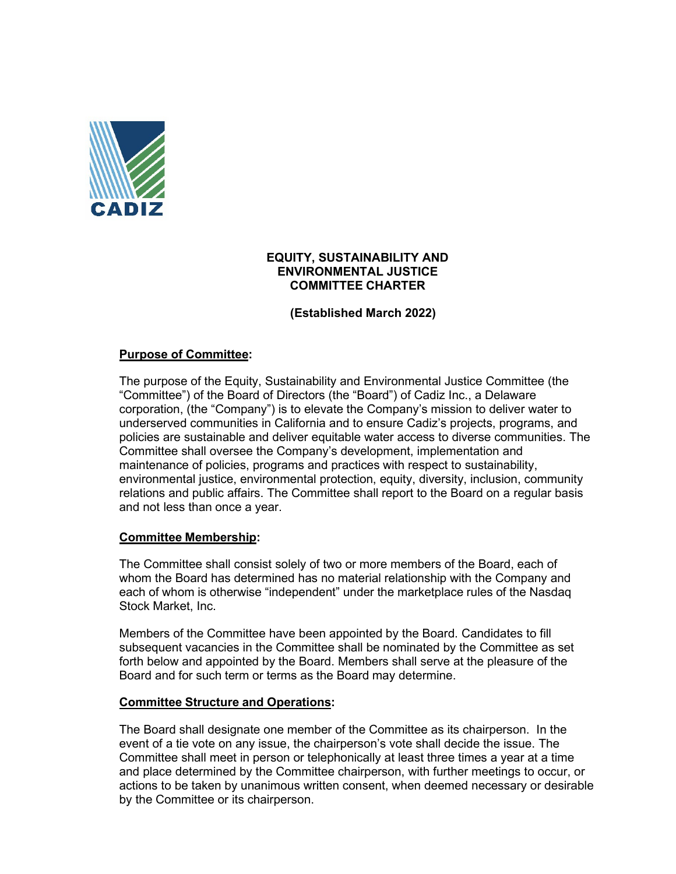

### **EQUITY, SUSTAINABILITY AND ENVIRONMENTAL JUSTICE COMMITTEE CHARTER**

**(Established March 2022)**

## **Purpose of Committee:**

The purpose of the Equity, Sustainability and Environmental Justice Committee (the "Committee") of the Board of Directors (the "Board") of Cadiz Inc., a Delaware corporation, (the "Company") is to elevate the Company's mission to deliver water to underserved communities in California and to ensure Cadiz's projects, programs, and policies are sustainable and deliver equitable water access to diverse communities. The Committee shall oversee the Company's development, implementation and maintenance of policies, programs and practices with respect to sustainability, environmental justice, environmental protection, equity, diversity, inclusion, community relations and public affairs. The Committee shall report to the Board on a regular basis and not less than once a year.

### **Committee Membership:**

The Committee shall consist solely of two or more members of the Board, each of whom the Board has determined has no material relationship with the Company and each of whom is otherwise "independent" under the marketplace rules of the Nasdaq Stock Market, Inc.

Members of the Committee have been appointed by the Board. Candidates to fill subsequent vacancies in the Committee shall be nominated by the Committee as set forth below and appointed by the Board. Members shall serve at the pleasure of the Board and for such term or terms as the Board may determine.

### **Committee Structure and Operations:**

The Board shall designate one member of the Committee as its chairperson. In the event of a tie vote on any issue, the chairperson's vote shall decide the issue. The Committee shall meet in person or telephonically at least three times a year at a time and place determined by the Committee chairperson, with further meetings to occur, or actions to be taken by unanimous written consent, when deemed necessary or desirable by the Committee or its chairperson.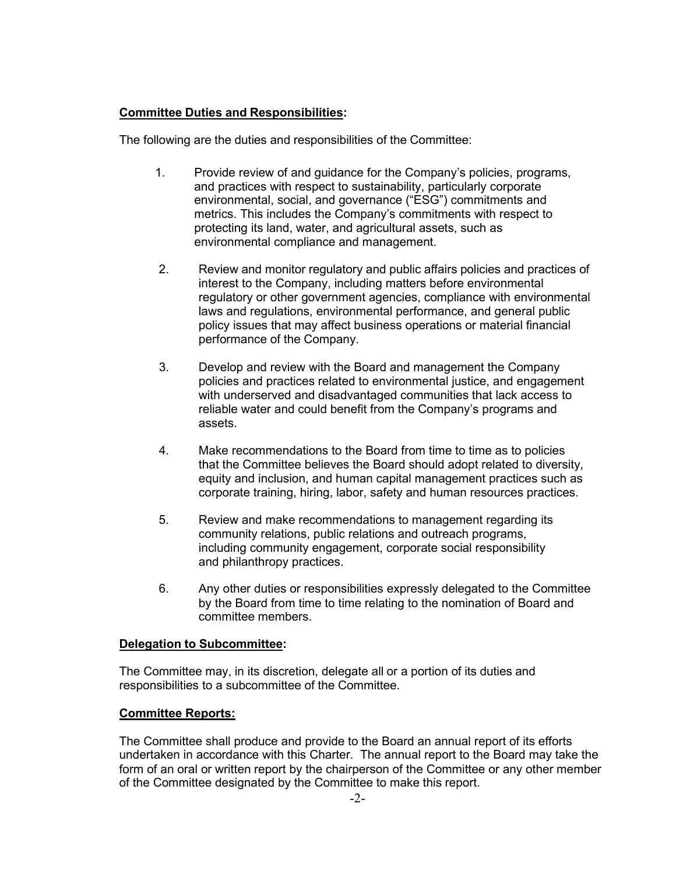## **Committee Duties and Responsibilities:**

The following are the duties and responsibilities of the Committee:

- 1. Provide review of and guidance for the Company's policies, programs, and practices with respect to sustainability, particularly corporate environmental, social, and governance ("ESG") commitments and metrics. This includes the Company's commitments with respect to protecting its land, water, and agricultural assets, such as environmental compliance and management.
- 2. Review and monitor regulatory and public affairs policies and practices of interest to the Company, including matters before environmental regulatory or other government agencies, compliance with environmental laws and regulations, environmental performance, and general public policy issues that may affect business operations or material financial performance of the Company.
- 3. Develop and review with the Board and management the Company policies and practices related to environmental justice, and engagement with underserved and disadvantaged communities that lack access to reliable water and could benefit from the Company's programs and assets.
- 4. Make recommendations to the Board from time to time as to policies that the Committee believes the Board should adopt related to diversity, equity and inclusion, and human capital management practices such as corporate training, hiring, labor, safety and human resources practices.
- 5. Review and make recommendations to management regarding its community relations, public relations and outreach programs, including community engagement, corporate social responsibility and philanthropy practices.
- 6. Any other duties or responsibilities expressly delegated to the Committee by the Board from time to time relating to the nomination of Board and committee members.

## **Delegation to Subcommittee:**

The Committee may, in its discretion, delegate all or a portion of its duties and responsibilities to a subcommittee of the Committee.

## **Committee Reports:**

The Committee shall produce and provide to the Board an annual report of its efforts undertaken in accordance with this Charter. The annual report to the Board may take the form of an oral or written report by the chairperson of the Committee or any other member of the Committee designated by the Committee to make this report.